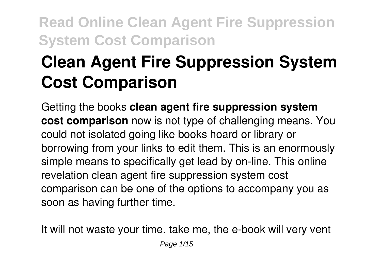# **Clean Agent Fire Suppression System Cost Comparison**

Getting the books **clean agent fire suppression system cost comparison** now is not type of challenging means. You could not isolated going like books hoard or library or borrowing from your links to edit them. This is an enormously simple means to specifically get lead by on-line. This online revelation clean agent fire suppression system cost comparison can be one of the options to accompany you as soon as having further time.

It will not waste your time. take me, the e-book will very vent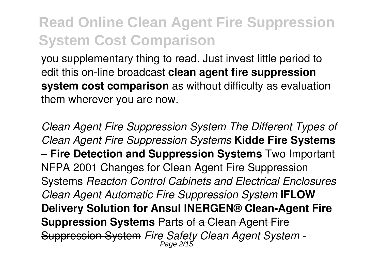you supplementary thing to read. Just invest little period to edit this on-line broadcast **clean agent fire suppression system cost comparison** as without difficulty as evaluation them wherever you are now.

*Clean Agent Fire Suppression System The Different Types of Clean Agent Fire Suppression Systems* **Kidde Fire Systems – Fire Detection and Suppression Systems** Two Important NFPA 2001 Changes for Clean Agent Fire Suppression Systems *Reacton Control Cabinets and Electrical Enclosures Clean Agent Automatic Fire Suppression System* **iFLOW Delivery Solution for Ansul INERGEN® Clean-Agent Fire Suppression Systems** Parts of a Clean Agent Fire Suppression System *Fire Safety Clean Agent System -* Page 2/15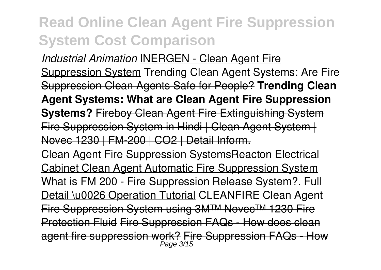*Industrial Animation* INERGEN - Clean Agent Fire Suppression System Trending Clean Agent Systems: Are Fire Suppression Clean Agents Safe for People? **Trending Clean Agent Systems: What are Clean Agent Fire Suppression Systems?** Fireboy Clean Agent Fire Extinguishing System Fire Suppression System in Hindi | Clean Agent System | Novec 1230 | FM-200 | CO2 | Detail Inform.

Clean Agent Fire Suppression SystemsReacton Electrical Cabinet Clean Agent Automatic Fire Suppression System What is FM 200 - Fire Suppression Release System?. Full Detail \u0026 Operation Tutorial CLEANFIRE Clean Agent Fire Suppression System using 3M™ Novec™ 1230 Fire Protection Fluid Fire Suppression FAQs - How does clean agent fire suppression work? Fire Suppression FAQs - How Page 3/15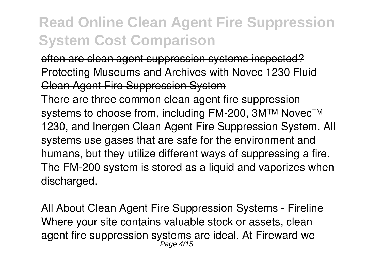often are clean agent suppression systems inspected? Protecting Museums and Archives with Novec 1230 Fluid Clean Agent Fire Suppression System

There are three common clean agent fire suppression systems to choose from, including FM-200, 3M™ Novec™ 1230, and Inergen Clean Agent Fire Suppression System. All systems use gases that are safe for the environment and humans, but they utilize different ways of suppressing a fire. The FM-200 system is stored as a liquid and vaporizes when discharged.

All About Clean Agent Fire Suppression Systems -Where your site contains valuable stock or assets, clean agent fire suppression systems are ideal. At Fireward we<br>Page 4/15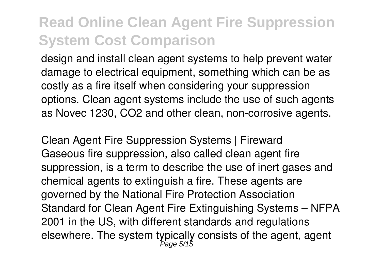design and install clean agent systems to help prevent water damage to electrical equipment, something which can be as costly as a fire itself when considering your suppression options. Clean agent systems include the use of such agents as Novec 1230, CO2 and other clean, non-corrosive agents.

Clean Agent Fire Suppression Systems | Fireward Gaseous fire suppression, also called clean agent fire suppression, is a term to describe the use of inert gases and chemical agents to extinguish a fire. These agents are governed by the National Fire Protection Association Standard for Clean Agent Fire Extinguishing Systems – NFPA 2001 in the US, with different standards and regulations elsewhere. The system typically consists of the agent, agent<br>Page 5/15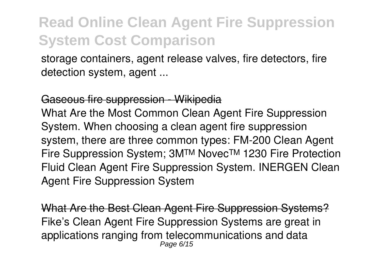storage containers, agent release valves, fire detectors, fire detection system, agent ...

#### Gaseous fire suppression - Wikipedia

What Are the Most Common Clean Agent Fire Suppression System. When choosing a clean agent fire suppression system, there are three common types: FM-200 Clean Agent Fire Suppression System; 3M™ Novec™ 1230 Fire Protection Fluid Clean Agent Fire Suppression System. INERGEN Clean Agent Fire Suppression System

What Are the Best Clean Agent Fire Suppression Systems? Fike's Clean Agent Fire Suppression Systems are great in applications ranging from telecommunications and data Page 6/15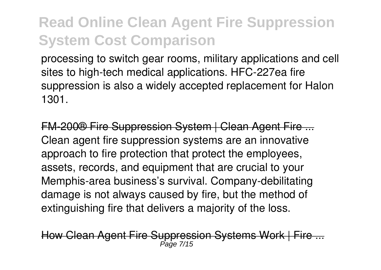processing to switch gear rooms, military applications and cell sites to high-tech medical applications. HFC-227ea fire suppression is also a widely accepted replacement for Halon 1301.

FM-200® Fire Suppression System | Clean Agent Fire ... Clean agent fire suppression systems are an innovative approach to fire protection that protect the employees, assets, records, and equipment that are crucial to your Memphis-area business's survival. Company-debilitating damage is not always caused by fire, but the method of extinguishing fire that delivers a majority of the loss.

How Clean Agent Fire Suppression Systems Work | Fire ... Page 7/15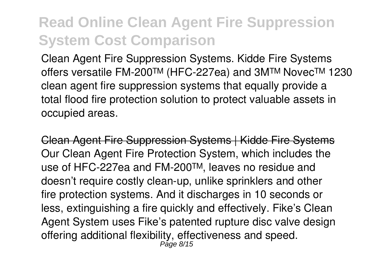Clean Agent Fire Suppression Systems. Kidde Fire Systems offers versatile FM-200™ (HFC-227ea) and 3M™ Novec™ 1230 clean agent fire suppression systems that equally provide a total flood fire protection solution to protect valuable assets in occupied areas.

Clean Agent Fire Suppression Systems | Kidde Fire Systems Our Clean Agent Fire Protection System, which includes the use of HFC-227ea and FM-200™, leaves no residue and doesn't require costly clean-up, unlike sprinklers and other fire protection systems. And it discharges in 10 seconds or less, extinguishing a fire quickly and effectively. Fike's Clean Agent System uses Fike's patented rupture disc valve design offering additional flexibility, effectiveness and speed. Page 8/15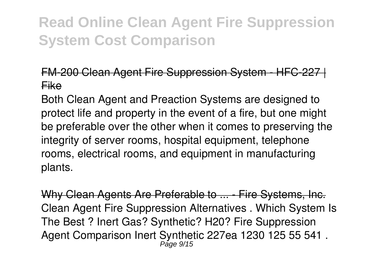#### FM-200 Clean Agent Fire Suppression System - HFC-227 | Fike

Both Clean Agent and Preaction Systems are designed to protect life and property in the event of a fire, but one might be preferable over the other when it comes to preserving the integrity of server rooms, hospital equipment, telephone rooms, electrical rooms, and equipment in manufacturing plants.

Why Clean Agents Are Preferable to ... - Fire Systems, Inc. Clean Agent Fire Suppression Alternatives . Which System Is The Best ? Inert Gas? Synthetic? H20? Fire Suppression Agent Comparison Inert Synthetic 227ea 1230 125 55 541 . Page 9/15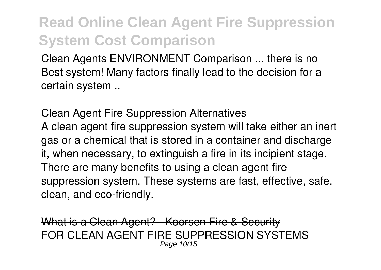Clean Agents ENVIRONMENT Comparison ... there is no Best system! Many factors finally lead to the decision for a certain system ..

#### Clean Agent Fire Suppression Alternatives

A clean agent fire suppression system will take either an inert gas or a chemical that is stored in a container and discharge it, when necessary, to extinguish a fire in its incipient stage. There are many benefits to using a clean agent fire suppression system. These systems are fast, effective, safe, clean, and eco-friendly.

What is a Clean Agent? - Koorsen Fire & Security FOR CLEAN AGENT FIRE SUPPRESSION SYSTEMS | Page 10/15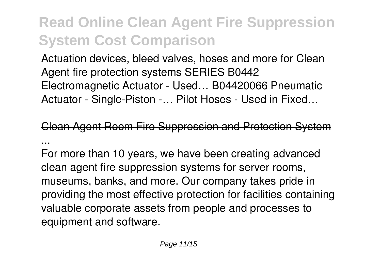Actuation devices, bleed valves, hoses and more for Clean Agent fire protection systems SERIES B0442 Electromagnetic Actuator - Used… B04420066 Pneumatic Actuator - Single-Piston -… Pilot Hoses - Used in Fixed…

Clean Agent Room Fire Suppression and Protection System ...

For more than 10 years, we have been creating advanced clean agent fire suppression systems for server rooms, museums, banks, and more. Our company takes pride in providing the most effective protection for facilities containing valuable corporate assets from people and processes to equipment and software.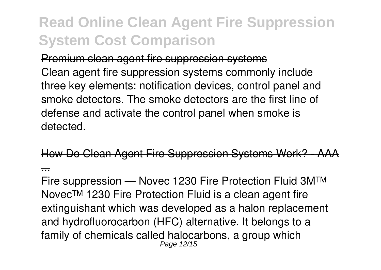Premium clean agent fire suppression systems Clean agent fire suppression systems commonly include three key elements: notification devices, control panel and smoke detectors. The smoke detectors are the first line of defense and activate the control panel when smoke is detected.

How Do Clean Agent Fire Suppression Systems Work? ...

Fire suppression — Novec 1230 Fire Protection Fluid 3M™ Novec™ 1230 Fire Protection Fluid is a clean agent fire extinguishant which was developed as a halon replacement and hydrofluorocarbon (HFC) alternative. It belongs to a family of chemicals called halocarbons, a group which Page 12/15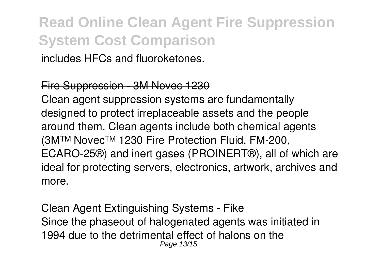includes HFCs and fluoroketones.

#### Fire Suppression - 3M Novec 1230

Clean agent suppression systems are fundamentally designed to protect irreplaceable assets and the people around them. Clean agents include both chemical agents (3M™ Novec™ 1230 Fire Protection Fluid, FM-200, ECARO-25®) and inert gases (PROINERT®), all of which are ideal for protecting servers, electronics, artwork, archives and more.

Clean Agent Extinguishing Systems - Fike Since the phaseout of halogenated agents was initiated in 1994 due to the detrimental effect of halons on the Page 13/15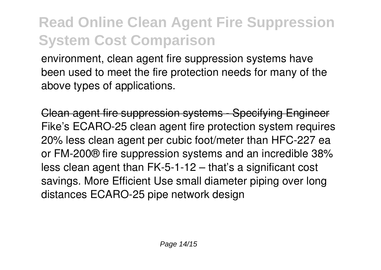environment, clean agent fire suppression systems have been used to meet the fire protection needs for many of the above types of applications.

Clean agent fire suppression systems - Specifying Engineer Fike's ECARO-25 clean agent fire protection system requires 20% less clean agent per cubic foot/meter than HFC-227 ea or FM-200® fire suppression systems and an incredible 38% less clean agent than FK-5-1-12 – that's a significant cost savings. More Efficient Use small diameter piping over long distances ECARO-25 pipe network design